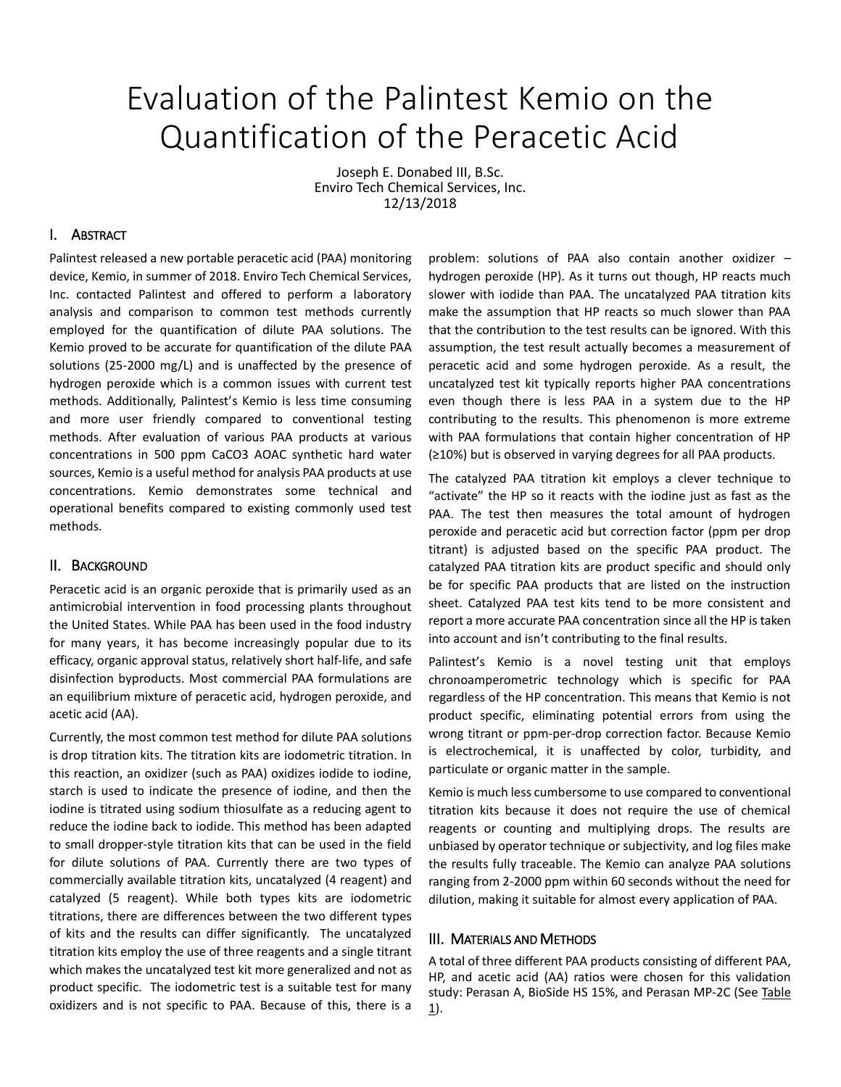# Evaluation of the Palintest Kemio on the Quantification of the Peracetic Acid

Joseph E. Donabed III, B.Sc. Enviro Tech Chemical Services, Inc. 12/13/2018

### I. ABSTRACT

Palintest released a new portable peracetic acid (PAA) monitoring device, Kemio, in summer of 2018. Enviro Tech Chemical Services, Inc. contacted Palintest and offered to perform a laboratory analysis and comparison to common test methods currently employed for the quantification of dilute PAA solutions. The Kemio proved to be accurate for quantification of the dilute PAA solutions (25-2000 mg/L) and is unaffected by the presence of hydrogen peroxide which is a common issues with current test methods. Additionally, Palintest's Kemio is less time consuming and more user friendly compared to conventional testing methods. After evaluation of various PAA products at various concentrations in 500 ppm CaCO3 AOAC synthetic hard water sources, Kemio is a useful method for analysis PAA products at use concentrations. Kemio demonstrates some technical and operational benefits compared to existing commonly used test methods.

#### II. BACKGROUND

Peracetic acid is an organic peroxide that is primarily used as an antimicrobial intervention in food processing plants throughout the United States. While PAA has been used in the food industry for many years, it has become increasingly popular due to its efficacy, organic approval status, relatively short half-life, and safe disinfection byproducts. Most commercial PAA formulations are an equilibrium mixture of peracetic acid, hydrogen peroxide, and acetic acid (AA).

Currently, the most common test method for dilute PAA solutions is drop titration kits. The titration kits are iodometric titration. In this reaction, an oxidizer (such as PAA) oxidizes iodide to iodine, starch is used to indicate the presence of iodine, and then the iodine is titrated using sodium thiosulfate as a reducing agent to reduce the iodine back to iodide. This method has been adapted to small dropper-style titration kits that can be used in the field for dilute solutions of PAA. Currently there are two types of commercially available titration kits, uncatalyzed (4 reagent) and catalyzed (5 reagent). While both types kits are iodometric titrations, there are differences between the two different types of kits and the results can differ significantly. The uncatalyzed titration kits employ the use of three reagents and a single titrant which makes the uncatalyzed test kit more generalized and not as product specific. The iodometric test is a suitable test for many oxidizers and is not specific to PAA. Because of this, there is a

problem: solutions of PAA also contain another oxidizer – hydrogen peroxide (HP). As it turns out though, HP reacts much slower with iodide than PAA. The uncatalyzed PAA titration kits make the assumption that HP reacts so much slower than PAA that the contribution to the test results can be ignored. With this assumption, the test result actually becomes a measurement of peracetic acid and some hydrogen peroxide. As a result, the uncatalyzed test kit typically reports higher PAA concentrations even though there is less PAA in a system due to the HP contributing to the results. This phenomenon is more extreme with PAA formulations that contain higher concentration of HP (≥10%) but is observed in varying degrees for all PAA products.

The catalyzed PAA titration kit employs a clever technique to "activate" the HP so it reacts with the iodine just as fast as the PAA. The test then measures the total amount of hydrogen peroxide and peracetic acid but correction factor (ppm per drop titrant) is adjusted based on the specific PAA product. The catalyzed PAA titration kits are product specific and should only be for specific PAA products that are listed on the instruction sheet. Catalyzed PAA test kits tend to be more consistent and report a more accurate PAA concentration since all the HP is taken into account and isn't contributing to the final results.

Palintest's Kemio is a novel testing unit that employs chronoamperometric technology which is specific for PAA regardless of the HP concentration. This means that Kemio is not product specific, eliminating potential errors from using the wrong titrant or ppm-per-drop correction factor. Because Kemio is electrochemical, it is unaffected by color, turbidity, and particulate or organic matter in the sample.

Kemio is much less cumbersome to use compared to conventional titration kits because it does not require the use of chemical reagents or counting and multiplying drops. The results are unbiased by operator technique or subjectivity, and log files make the results fully traceable. The Kemio can analyze PAA solutions ranging from 2-2000 ppm within 60 seconds without the need for dilution, making it suitable for almost every application of PAA.

#### III. MATERIALS AND METHODS

A total of three different PAA products consisting of different PAA, HP, and acetic acid (AA) ratios were chosen for this validation study: Perasan A, BioSide HS 15%, and Perasan MP-2C (See Table  $\underline{1}$ .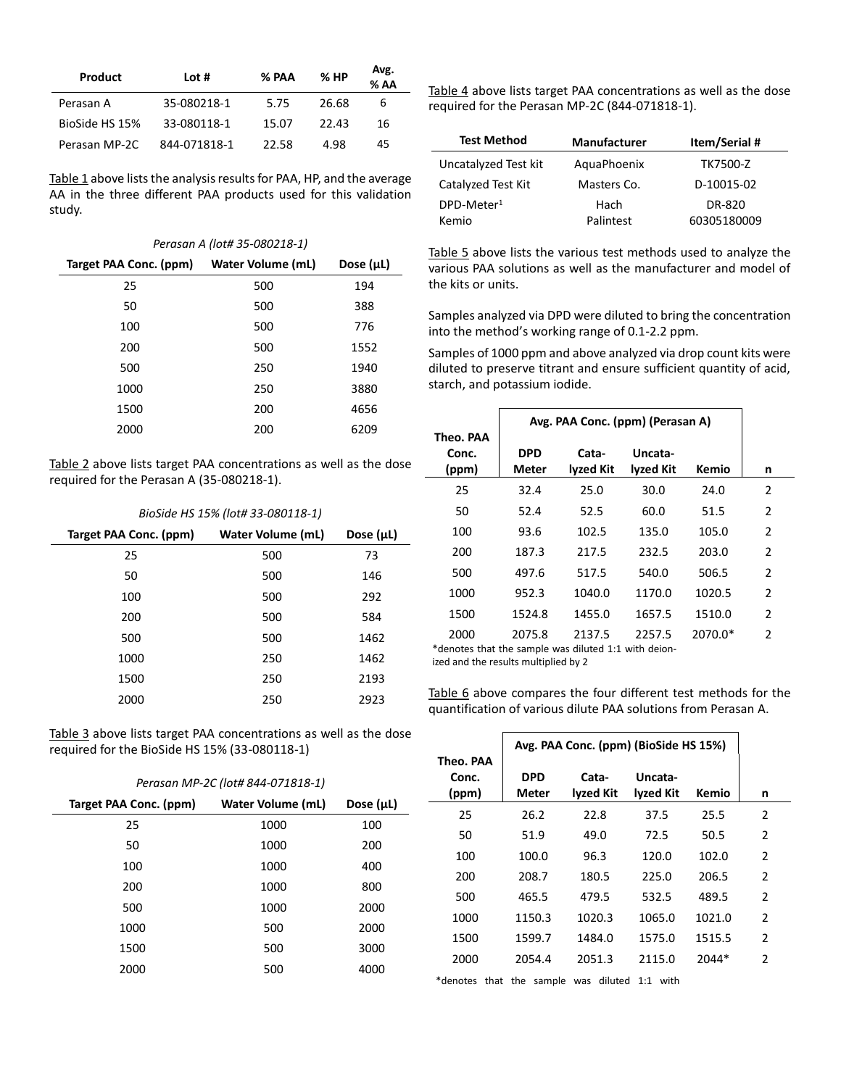| Product        | Lot #        | % PAA | %HP   | Avg.<br>$%$ AA |
|----------------|--------------|-------|-------|----------------|
| Perasan A      | 35-080218-1  | 5.75  | 26.68 | 6              |
| BioSide HS 15% | 33-080118-1  | 15.07 | 22.43 | 16             |
| Perasan MP-2C  | 844-071818-1 | 22.58 | 4.98  | 45             |

Table 1 above lists the analysis results for PAA, HP, and the average AA in the three different PAA products used for this validation study.

|  |  | Perasan A (lot# 35-080218-1) |  |
|--|--|------------------------------|--|
|--|--|------------------------------|--|

| Target PAA Conc. (ppm) | <b>Water Volume (mL)</b> | Dose $(\mu L)$ |
|------------------------|--------------------------|----------------|
| 25                     | 500                      | 194            |
| 50                     | 500                      | 388            |
| 100                    | 500                      | 776            |
| 200                    | 500                      | 1552           |
| 500                    | 250                      | 1940           |
| 1000                   | 250                      | 3880           |
| 1500                   | 200                      | 4656           |
| 2000                   | 200                      | 6209           |

Table 2 above lists target PAA concentrations as well as the dose required for the Perasan A (35-080218-1).

|  | BioSide HS 15% (lot# 33-080118-1) |
|--|-----------------------------------|
|--|-----------------------------------|

| Target PAA Conc. (ppm) | <b>Water Volume (mL)</b> | Dose $(\mu L)$ |
|------------------------|--------------------------|----------------|
| 25                     | 500                      | 73             |
| 50                     | 500                      | 146            |
| 100                    | 500                      | 292            |
| 200                    | 500                      | 584            |
| 500                    | 500                      | 1462           |
| 1000                   | 250                      | 1462           |
| 1500                   | 250                      | 2193           |
| 2000                   | 250                      | 2923           |

Table 3 above lists target PAA concentrations as well as the dose required for the BioSide HS 15% (33-080118-1)

*Perasan MP-2C (lot# 844-071818-1)*

| Target PAA Conc. (ppm) | <b>Water Volume (mL)</b> | Dose $(\mu L)$ |
|------------------------|--------------------------|----------------|
| 25                     | 1000                     | 100            |
| 50                     | 1000                     | 200            |
| 100                    | 1000                     | 400            |
| 200                    | 1000                     | 800            |
| 500                    | 1000                     | 2000           |
| 1000                   | 500                      | 2000           |
| 1500                   | 500                      | 3000           |
| 2000                   | 500                      | 4000           |

Table 4 above lists target PAA concentrations as well as the dose required for the Perasan MP-2C (844-071818-1).

| <b>Test Method</b>     | <b>Manufacturer</b> | <b>Item/Serial#</b> |
|------------------------|---------------------|---------------------|
| Uncatalyzed Test kit   | AquaPhoenix         | TK7500-Z            |
| Catalyzed Test Kit     | Masters Co.         | D-10015-02          |
| DPD-Meter <sup>1</sup> | Hach                | DR-820              |
| Kemio                  | Palintest           | 60305180009         |

Table 5 above lists the various test methods used to analyze the various PAA solutions as well as the manufacturer and model of the kits or units.

Samples analyzed via DPD were diluted to bring the concentration into the method's working range of 0.1-2.2 ppm.

Samples of 1000 ppm and above analyzed via drop count kits were diluted to preserve titrant and ensure sufficient quantity of acid, starch, and potassium iodide.

|                                                              |                     | Avg. PAA Conc. (ppm) (Perasan A) |                      |         |                |  |
|--------------------------------------------------------------|---------------------|----------------------------------|----------------------|---------|----------------|--|
| Theo. PAA<br>Conc.<br>(ppm)                                  | <b>DPD</b><br>Meter | Cata-<br>lyzed Kit               | Uncata-<br>lyzed Kit | Kemio   | n              |  |
| 25                                                           | 32.4                | 25.0                             | 30.0                 | 24.0    | 2              |  |
| 50                                                           | 52.4                | 52.5                             | 60.0                 | 51.5    | 2              |  |
| 100                                                          | 93.6                | 102.5                            | 135.0                | 105.0   | $\overline{2}$ |  |
| 200                                                          | 187.3               | 217.5                            | 232.5                | 203.0   | 2              |  |
| 500                                                          | 497.6               | 517.5                            | 540.0                | 506.5   | 2              |  |
| 1000                                                         | 952.3               | 1040.0                           | 1170.0               | 1020.5  | 2              |  |
| 1500                                                         | 1524.8              | 1455.0                           | 1657.5               | 1510.0  | $\overline{2}$ |  |
| 2000<br>*denotes that the sample was diluted 1:1 with deion- | 2075.8              | 2137.5                           | 2257.5               | 2070.0* | 2              |  |

ized and the results multiplied by 2

Table 6 above compares the four different test methods for the quantification of various dilute PAA solutions from Perasan A.

| Theo. PAA      |                     | Avg. PAA Conc. (ppm) (BioSide HS 15%) |                      |        |   |
|----------------|---------------------|---------------------------------------|----------------------|--------|---|
| Conc.<br>(ppm) | <b>DPD</b><br>Meter | Cata-<br>lyzed Kit                    | Uncata-<br>lyzed Kit | Kemio  | n |
| 25             | 26.2                | 22.8                                  | 37.5                 | 25.5   | 2 |
| 50             | 51.9                | 49.0                                  | 72.5                 | 50.5   | 2 |
| 100            | 100.0               | 96.3                                  | 120.0                | 102.0  | 2 |
| 200            | 208.7               | 180.5                                 | 225.0                | 206.5  | 2 |
| 500            | 465.5               | 479.5                                 | 532.5                | 489.5  | 2 |
| 1000           | 1150.3              | 1020.3                                | 1065.0               | 1021.0 | 2 |
| 1500           | 1599.7              | 1484.0                                | 1575.0               | 1515.5 | 2 |
| 2000           | 2054.4              | 2051.3                                | 2115.0               | 2044*  | 2 |

\*denotes that the sample was diluted 1:1 with